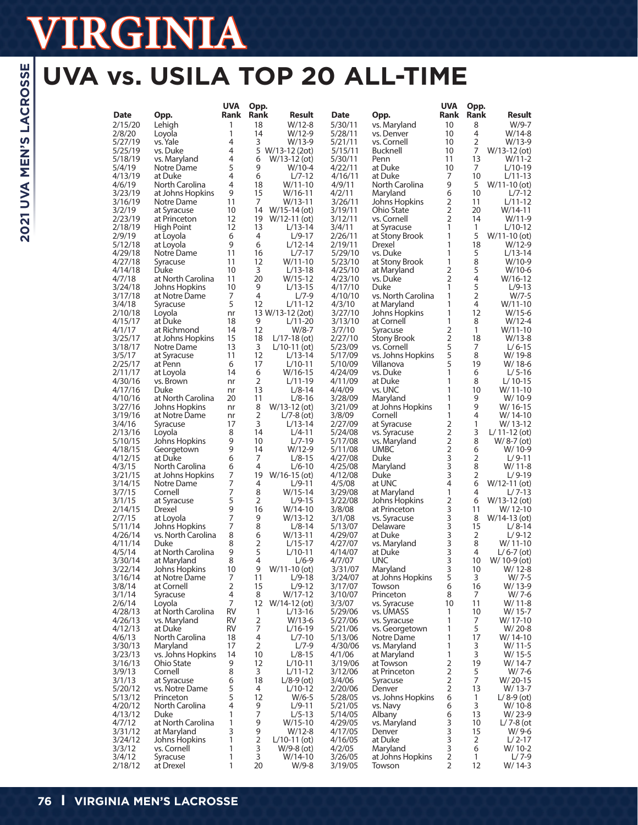## **VIRGINIA**

## **UVA vs. USILA TOP 20 ALL-TIME**

| Date               | Opp.                               | <b>UVA</b><br>Rank | Opp.<br>Rank                       | Result                      | Date               |                                | UVA<br>Rank         | Opp.<br>Rank                 | <b>Result</b>             |
|--------------------|------------------------------------|--------------------|------------------------------------|-----------------------------|--------------------|--------------------------------|---------------------|------------------------------|---------------------------|
| 2/15/20            |                                    | 1                  | 18                                 | $W/12-8$                    | 5/30/11            | Opp.                           | 10                  | 8                            | $W/9-7$                   |
| 2/8/20             | Lehigh<br>Loyola                   | $\mathbf{1}$       | 14                                 | $W/12-9$                    | 5/28/11            | vs. Maryland<br>vs. Denver     | 10                  | 4                            | $W/14-8$                  |
| 5/27/19            | vs. Yale                           | 4                  | 3                                  | W/13-9                      | 5/21/11            | vs. Cornell                    | 10                  | 2                            | W/13-9                    |
| 5/25/19            | vs. Duke                           | 4                  |                                    | 5 W/13-12 (2ot)             | 5/15/11            | Bucknell                       | 10                  | 7                            | W/13-12 (ot)              |
| 5/18/19            | vs. Maryland                       | 4                  | 6                                  | W/13-12 (ot)                | 5/30/11            | Penn                           | 11                  | 13                           | $W/11-2$                  |
| 5/4/19             | Notre Dame                         | 5                  | 9                                  | $W/10-4$                    | 4/22/11            | at Duke                        | 10                  | 7                            | $L/10-19$                 |
| 4/13/19            | at Duke                            | 4                  | 6                                  | $L/7-12$                    | 4/16/11            | at Duke                        | 7                   | 10                           | $L/11-13$                 |
| 4/6/19             | North Carolina                     | 4                  | 18                                 | $W/11-10$                   | 4/9/11             | North Carolina                 | 9                   | 5                            | W/11-10 (ot)              |
| 3/23/19            | at Johns Hopkins                   | 9                  | 15                                 | $W/16-11$                   | 4/2/11             | Maryland                       | 6                   | 10                           | $L/7-12$                  |
| 3/16/19<br>3/2/19  | Notre Dame<br>at Syracuse          | 11<br>10           | 7<br>14                            | $W/13-11$<br>$W/15-14$ (ot) | 3/26/11<br>3/19/11 | Johns Hopkins<br>Ohio State    | 2<br>2              | 11<br>20                     | $L/11-12$<br>W/14-11      |
| 2/23/19            | at Princeton                       | 12                 | 19                                 | $W/12-11$ (ot)              | 3/12/11            | vs. Cornell                    | 2                   | 14                           | $W/11-9$                  |
| 2/18/19            | High Point                         | 12                 | 13                                 | $L/13-14$                   | 3/4/11             | at Syracuse                    | 1                   | $\mathbf{1}$                 | $L/10-12$                 |
| 2/9/19             | at Loyola                          | 6                  | 4                                  | $L/9-17$                    | 2/26/11            | at Stony Brook                 | 1                   | 5                            | W/11-10 (ot)              |
| 5/12/18            | at Loyola                          | 9                  | 6                                  | $L/12-14$                   | 2/19/11            | Drexel                         | 1                   | 18                           | $W/12-9$                  |
| 4/29/18            | Notre Dame                         | 11                 | 16                                 | $L/7-17$                    | 5/29/10            | vs. Duke                       | 1                   | 5                            | $L/13-14$                 |
| 4/27/18            | Syracuse                           | 11                 | 12                                 | $W/11-10$                   | 5/23/10            | at Stony Brook                 | 1                   | 8                            | W/10-9                    |
| 4/14/18            | Duke                               | 10<br>11           | 3<br>20                            | $L/13-18$                   | 4/25/10            | at Maryland                    | $\overline{2}$<br>2 | 5<br>$\overline{\mathbf{4}}$ | $W/10-6$                  |
| 4/7/18<br>3/24/18  | at North Carolina<br>Johns Hopkins | 10                 | 9                                  | $W/15-12$<br>$L/13-15$      | 4/23/10<br>4/17/10 | vs. Duke<br>Duke               | 1                   | 5                            | W/16-12<br>$L/9-13$       |
| 3/17/18            | at Notre Dame                      | 7                  | $\overline{4}$                     | $L/7-9$                     | 4/10/10            | vs. North Carolina             | 1                   | $\overline{2}$               | $W/7-5$                   |
| 3/4/18             | Syracuse                           | 5                  | 12                                 | $L/11-12$                   | 4/3/10             | at Maryland                    | 1                   | 4                            | W/11-10                   |
| 2/10/18            | Loyola                             | nr                 |                                    | 13 W/13-12 (2ot)            | 3/27/10            | Johns Hopkins                  | $\mathbf{1}$        | 12                           | $W/15-6$                  |
| 4/15/17            | at Duke                            | 18                 | 9                                  | $L/11-20$                   | 3/13/10            | at Cornell                     | 1                   | 8                            | $W/12-4$                  |
| 4/1/17             | at Richmond                        | 14                 | 12                                 | $W/8-7$                     | 3/7/10             | Syracuse                       | 2                   | $\mathbf{1}$                 | W/11-10                   |
| 3/25/17            | at Johns Hopkins                   | 15                 | 18                                 | $L/17-18$ (ot)              | 2/27/10            | <b>Stony Brook</b>             | 2                   | 18                           | $W/13-8$                  |
| 3/18/17            | Notre Dame                         | 13                 | 3                                  | $L/10-11$ (ot)              | 5/23/09            | vs. Cornell                    | 5                   | 7                            | $L/6 - 15$                |
| 3/5/17<br>2/25/17  | at Syracuse<br>at Penn             | 11<br>6            | 12<br>17                           | $L/13-14$<br>$L/10-11$      | 5/17/09<br>5/10/09 | vs. Johns Hopkins<br>Villanova | 5<br>5              | 8<br>19                      | W/19-8<br>W/18-6          |
| 2/11/17            | at Loyola                          | 14                 | 6                                  | W/16-15                     | 4/24/09            | vs. Duke                       | 1                   | 6                            | $L/5-16$                  |
| 4/30/16            | vs. Brown                          | nr                 | $\overline{2}$                     | $L/11-19$                   | 4/11/09            | at Duke                        | 1                   | 8                            | $L/10-15$                 |
| 4/17/16            | Duke                               | nr                 | 13                                 | $L/8 - 14$                  | 4/4/09             | vs. UNC                        | 1                   | 10                           | $W/11-10$                 |
| 4/10/16            | at North Carolina                  | 20                 | 11                                 | $L/8-16$                    | 3/28/09            | Maryland                       | 1                   | 9                            | W/10-9                    |
| 3/27/16            | Johns Hopkins                      | nr                 | 8                                  | W/13-12 (ot)                | 3/21/09            | at Johns Hopkins               | 1                   | 9                            | W/16-15                   |
| 3/19/16            | at Notre Dame                      | nr                 | 2                                  | $L/7-8$ (ot)                | 3/8/09             | Cornell                        | 1                   | 4                            | W/14-10                   |
| 3/4/16<br>2/13/16  | Syracuse<br>Loyola                 | 17<br>8            | 3<br>14                            | $L/13-14$<br>$L/4-11$       | 2/27/09<br>5/24/08 | at Syracuse<br>vs. Syracuse    | 2<br>2              | 1<br>3                       | W/13-12<br>$L/11-12$ (ot) |
| 5/10/15            | Johns Hopkins                      | 9                  | 10                                 | $L/7-19$                    | 5/17/08            | vs. Maryland                   | 2                   | 8                            | W/ 8-7 (ot)               |
| 4/18/15            | Georgetown                         | 9                  | 14                                 | W/12-9                      | 5/11/08            | <b>UMBC</b>                    | $\overline{2}$      | 6                            | W/10-9                    |
| 4/12/15            | at Duke                            | 6                  | 7                                  | $L/8 - 15$                  | 4/27/08            | Duke                           | 3                   | $\overline{2}$               | $L/9-11$                  |
| 4/3/15             | North Carolina                     | 6                  | 4                                  | $L/6-10$                    | 4/25/08            | Maryland                       | 3                   | 8                            | W/11-8                    |
| 3/21/15            | at Johns Hopkins                   | 7                  | 19                                 | W/16-15 (ot)                | 4/12/08            | Duke                           | 3                   | 2                            | $L/9-19$                  |
| 3/14/15            | Notre Dame<br>Cornell              | 7<br>7             | 4<br>8                             | $L/9-11$<br>$W/15-14$       | 4/5/08             | at UNC                         | 4<br>1              | 6<br>4                       | W/12-11 (ot)<br>$L/7-13$  |
| 3/7/15<br>3/1/15   | at Syracuse                        | 5                  | 2                                  | $L/9-15$                    | 3/29/08<br>3/22/08 | at Maryland<br>Johns Hopkins   | 2                   | 6                            | $W/13-12$ (ot)            |
| 2/14/15            | Drexel                             | 9                  | 16                                 | $W/14-10$                   | 3/8/08             | at Princeton                   | 3                   | 11                           | W/12-10                   |
| 2/7/15             | at Loyola                          | 7                  | 9                                  | $W/13-12$                   | 3/1/08             | vs. Syracuse                   | 3                   | 8                            | W/14-13 (ot)              |
| 5/11/14            | Johns Hopkins                      | 7                  | 8                                  | $L/8 - 14$                  | 5/13/07            | Delaware                       | 3                   | 15                           | $L/8-14$                  |
| 4/26/14            | vs. North Carolina                 | 8                  | 6                                  | $W/13-11$                   | 4/29/07            | at Duke                        | 3                   | $\overline{2}$               | $L/9-12$                  |
| 4/11/14            | Duke                               | 8                  | 2                                  | $L/15-17$                   | 4/27/07            | vs. Maryland                   | 3                   | 8                            | W/11-10                   |
| 4/5/14             | at North Carolina                  | 9<br>8             | 5<br>4                             | $L/10-11$<br>$L/6-9$        | 4/14/07            | at Duke                        | 3<br>3              | 4<br>10                      | $L/6-7$ (ot)              |
| 3/30/14<br>3/22/14 | at Maryland<br>Johns Hopkins       | 10                 | 9                                  | W/11-10 (ot)                | 4/7/07<br>3/31/07  | UNC<br>Maryland                | 3                   | 10                           | W/ 10-9 (ot)<br>W/12-8    |
| 3/16/14            | at Notre Dame                      | 7                  | 11                                 | $L/9-18$                    | 3/24/07            | at Johns Hopkins               | 5                   | 3                            | W/7-5                     |
| 3/8/14             | at Cornell                         | 2                  | 15                                 | $L/9-12$                    | 3/17/07            | Towson                         | 6                   | 16                           | W/13-9                    |
| 3/1/14             | Syracuse                           | 4                  | 8                                  | W/17-12                     | 3/10/07            | Princeton                      | 8                   | 7                            | W/7-6                     |
| 2/6/14             | Loyola                             | 7                  | 12                                 | W/14-12 (ot)                | 3/3/07             | vs. Syracuse                   | 10                  | 11                           | W/11-8                    |
| 4/28/13            | at North Carolina                  | <b>RV</b>          | $\mathbf{1}$                       | $L/13-16$                   | 5/29/06            | vs. UMASS                      | 1                   | 10                           | W/15-7                    |
| 4/26/13            | vs. Maryland                       | <b>RV</b>          | $\overline{2}$<br>$\boldsymbol{7}$ | $W/13-6$                    | 5/27/06            | vs. Syracuse                   | 1<br>1              | 7<br>5                       | W/17-10                   |
| 4/12/13<br>4/6/13  | at Duke<br>North Carolina          | RV<br>18           | $\overline{4}$                     | $L/16-19$<br>$L/7-10$       | 5/21/06<br>5/13/06 | vs. Georgetown<br>Notre Dame   | 1                   | 17                           | W/20-8<br>W/14-10         |
| 3/30/13            | Maryland                           | 17                 | $\overline{2}$                     | $L/7-9$                     | 4/30/06            | vs. Maryland                   | 1                   | 3                            | W/11-5                    |
| 3/23/13            | vs. Johns Hopkins                  | 14                 | 10                                 | $L/8 - 15$                  | 4/1/06             | at Maryland                    | 1                   | 3                            | W/15-5                    |
| 3/16/13            | Ohio State                         | 9                  | 12                                 | L/10-11                     | 3/19/06            | at Towson                      | 2                   | 19                           | W/14-7                    |
| 3/9/13             | Cornell                            | 8                  | 3                                  | $L/11-12$                   | 3/12/06            | at Princeton                   | $\overline{2}$      | 5                            | $W/7-6$                   |
| 3/1/13             | at Syracuse                        | 6                  | 18                                 | $L/8-9$ (ot)                | 3/4/06             | Syracuse                       | 2                   | $\overline{7}$               | W/20-15                   |
| 5/20/12<br>5/13/12 | vs. Notre Dame<br>Princeton        | 5<br>5             | 4<br>12                            | $L/10-12$<br>$W/6-5$        | 2/20/06            | Denver<br>vs. Johns Hopkins    | $\overline{2}$<br>6 | 13                           | W/13-7                    |
| 4/20/12            | North Carolina                     | 4                  | 9                                  | $L/9-11$                    | 5/28/05<br>5/21/05 | vs. Navy                       | 6                   | $\mathbf{1}$<br>3            | $L/8-9$ (ot)<br>W/10-8    |
| 4/13/12            | Duke                               | 1                  | $\boldsymbol{7}$                   | $L/5-13$                    | 5/14/05            | Albany                         | 6                   | 13                           | W/23-9                    |
| 4/7/12             | at North Carolina                  | 1                  | 9                                  | $W/15-10$                   | 4/29/05            | vs. Maryland                   | 3                   | 10                           | $L/7-8$ (ot               |
| 3/31/12            | at Maryland                        | 3                  | 9                                  | $W/12-8$                    | 4/17/05            | Denver                         | 3                   | 15                           | $W/9-6$                   |
| 3/24/12            | Johns Hopkins                      | $\mathbf{1}$       | $\mathbf 2$                        | $L/10-11$ (ot)              | 4/16/05            | at Duke                        | 3                   | 2                            | $L/2-17$                  |
| 3/3/12             | vs. Cornell                        | 1                  | 3                                  | $W/9-8$ (ot)                | 4/2/05             | Maryland                       | 3                   | 6                            | W/10-2                    |
| 3/4/12<br>2/18/12  | Syracuse<br>at Drexel              | 1<br>$\mathbf{1}$  | 3<br>20                            | $W/14-10$<br>$W/9-8$        | 3/26/05<br>3/19/05 | at Johns Hopkins<br>Towson     | $\overline{2}$<br>2 | $\mathbf{1}$<br>12           | $L/7-9$<br>W/14-3         |
|                    |                                    |                    |                                    |                             |                    |                                |                     |                              |                           |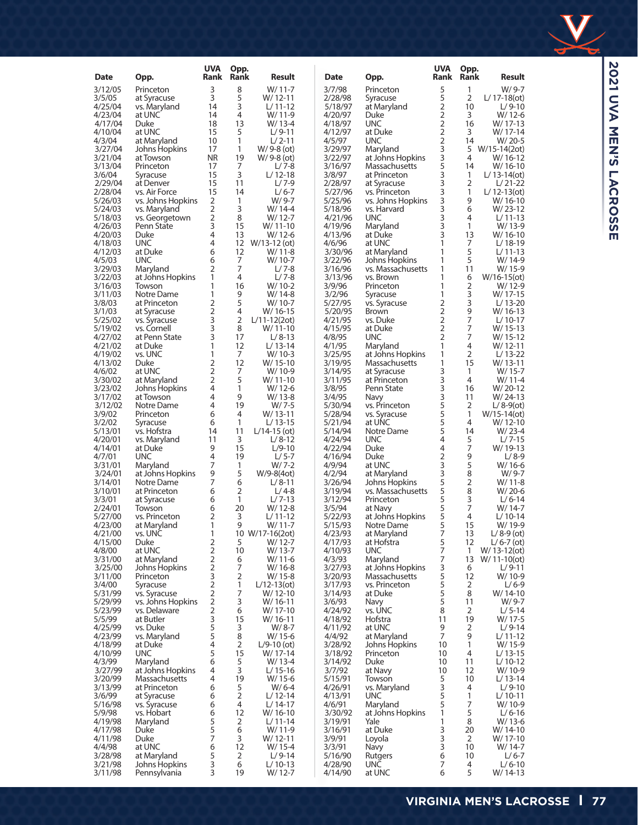$\chi$ 2021 UVA MEN'S LACROSSE **2021 UVA MEN'S LACROSSE**

|                    |                                    | <b>UVA</b>          | Opp.                 |                              |                    |                                    | <b>UVA</b>     |                                                |
|--------------------|------------------------------------|---------------------|----------------------|------------------------------|--------------------|------------------------------------|----------------|------------------------------------------------|
| <b>Date</b>        | Opp.                               | Rank                | <b>Rank</b>          | <b>Result</b>                | Date               | Opp.                               | Rank           | Opp.<br>Rank<br>Result                         |
| 3/12/05            | Princeton                          | 3                   | 8                    | W/11-7                       | 3/7/98             | Princeton                          | 5              | 1<br>W/9-7                                     |
| 3/5/05             | at Syracuse                        | 3                   | 5                    | W/12-11                      | 2/28/98            | Syracuse                           | 5              | 2<br>L/ 17-18(ot)                              |
| 4/25/04<br>4/23/04 | vs. Maryland<br>at UNC             | 14<br>14            | 3<br>4               | $L/11-12$<br>$W/11-9$        | 5/18/97<br>4/20/97 | at Maryland<br>Duke                | 2<br>2         | 10<br>$L/9-10$<br>3<br>W/12-6                  |
| 4/17/04            | Duke                               | 18                  | 13                   | W/13-4                       | 4/18/97            | <b>UNC</b>                         | 2              | 16<br>W/17-13                                  |
| 4/10/04            | at UNC                             | 15                  | 5                    | $L/9-11$                     | 4/12/97            | at Duke                            | 2              | 3<br>W/17-14                                   |
| 4/3/04             | at Maryland                        | 10                  | 1                    | $L/2-11$                     | 4/5/97             | UNC                                | 2              | 14<br>W/20-5                                   |
| 3/27/04<br>3/21/04 | Johns Hopkins<br>at Towson         | 17<br>ΝR            | 1<br>19              | $W/9-8$ (ot)<br>$W/9-8$ (ot) | 3/29/97<br>3/22/97 | Maryland<br>at Johns Hopkins       | 3<br>3         | 5<br>W/15-14(2ot)<br>$\overline{4}$<br>W/16-12 |
| 3/13/04            | Princeton                          | 17                  | 7                    | $L/7-8$                      | 3/16/97            | Massachusetts                      | 5              | 14<br>W/16-10                                  |
| 3/6/04             | Syracuse                           | 15                  | 3                    | $L/12-18$                    | 3/8/97             | at Princeton                       | 3              | 1<br>L/ 13-14(ot)                              |
| 2/29/04            | at Denver                          | 15                  | 11<br>14             | $L/7-9$<br>$L/6-7$           | 2/28/97            | at Syracuse                        | 3              | 2<br>$L/21-22$<br>1                            |
| 2/28/04<br>5/26/03 | vs. Air Force<br>ys. Johns Hopkins | 15<br>2             | 1                    | $W/9-7$                      | 5/27/96<br>5/25/96 | vs. Princeton<br>vs. Johns Hopkins | 3<br>3         | L/ 12-13(ot)<br>9<br>W/16-10                   |
| 5/24/03            | vs. Maryland                       | 2                   | 3                    | W/14-4                       | 5/18/96            | vs. Harvard                        | 3              | 6<br>$W/23-12$                                 |
| 5/18/03            | vs. Georgetown                     | 2                   | 8                    | W/12-7                       | 4/21/96            | <b>UNC</b>                         | 3              | 4<br>$L/11-13$                                 |
| 4/26/03<br>4/20/03 | Penn State<br>Duke                 | 3<br>4              | 15<br>13             | W/11-10<br>W/12-6            | 4/19/96<br>4/13/96 | Maryland<br>at Duke                | 3<br>3         | 1<br>W/13-9<br>13<br>W/16-10                   |
| 4/18/03            | <b>UNC</b>                         | 4                   | 12                   | W/13-12 (ot)                 | 4/6/96             | at UNC                             | 1              | 7<br>$L/18-19$                                 |
| 4/12/03            | at Duke                            | 6                   | 12                   | W/11-8                       | 3/30/96            | at Maryland                        | 1              | 5<br>$L/11-13$                                 |
| 4/5/03<br>3/29/03  | <b>UNC</b>                         | 6                   | 7<br>7               | W/10-7                       | 3/22/96            | Johns Hopkins                      | 1<br>1         | 5<br>W/14-9<br>11<br>W/15-9                    |
| 3/22/03            | Maryland<br>at Johns Hopkins       | 2<br>1              | 4                    | $L/7-8$<br>$L/7-8$           | 3/16/96<br>3/13/96 | vs. Massachusetts<br>vs. Brown     | 1              | 6<br>W/16-15(ot)                               |
| 3/16/03            | Towson                             | 1                   | 16                   | W/10-2                       | 3/9/96             | Princeton                          | 1              | $\overline{2}$<br>W/12-9                       |
| 3/11/03            | Notre Dame                         | 1                   | 9                    | W/14-8                       | 3/2/96             | Syracuse                           | 1              | 3<br>W/17-15                                   |
| 3/8/03<br>3/1/03   | at Princeton<br>at Syracuse        | 2<br>2              | 5<br>4               | W/10-7<br>W/16-15            | 5/27/95<br>5/20/95 | vs. Syracuse<br>Brown              | 2<br>2         | 3<br>L/13-20<br>9<br>$W/16-13$                 |
| 5/25/02            | vs. Syracuse                       | 3                   | 2                    | $L/11-12(2ot)$               | 4/21/95            | vs. Duke                           | 2              | 7<br>L/10-17                                   |
| 5/19/02            | vs. Cornell                        | 3                   | 8                    | W/11-10                      | 4/15/95            | at Duke                            | 2              | 7<br>W/15-13                                   |
| 4/27/02            | at Penn State                      | 3                   | 17                   | $L/8-13$                     | 4/8/95             | UNC                                | 2              | 7<br>W/15-12                                   |
| 4/21/02<br>4/19/02 | at Duke<br>vs. UNC                 | 1<br>1              | 12<br>7              | $L/13-14$<br>$W/10-3$        | 4/1/95<br>3/25/95  | Maryland<br>at Johns Hopkins       | 1<br>1         | 4<br>W/12-11<br>$\overline{2}$<br>$L/13-22$    |
| 4/13/02            | Duke                               | 2                   | 12                   | W/ 15-10                     | 3/19/95            | Massachusetts                      | 1              | 15<br>W/13-11                                  |
| 4/6/02             | at UNC                             | 2                   | 7                    | W/10-9                       | 3/14/95            | at Syracuse                        | 3              | 1<br>W/15-7                                    |
| 3/30/02<br>3/23/02 | at Maryland<br>Johns Hopkins       | $\overline{2}$<br>4 | 5<br>1               | W/ 11-10<br>W/12-6           | 3/11/95<br>3/8/95  | at Princeton<br>Penn State         | 3<br>3         | $\overline{4}$<br>$W/11-4$<br>16<br>W/20-12    |
| 3/17/02            | at Towson                          | 4                   | 9                    | W/13-8                       | 3/4/95             | Navy                               | 3              | 11<br>W/24-13                                  |
| 3/12/02            | Notre Dame                         | 4                   | 19                   | $W/7-5$                      | 5/30/94            | vs. Princeton                      | 5              | 2<br>$L/8-9$ (ot)                              |
| 3/9/02             | Princeton                          | 6                   | 4                    | W/13-11                      | 5/28/94            | vs. Syracuse                       | 5              | $\mathbf{1}$<br>W/15-14(ot)                    |
| 3/2/02<br>5/13/01  | Syracuse<br>vs. Hofstra            | 6<br>14             | $\mathbf{1}$<br>11   | $L/13-15$<br>$L/14-15$ (ot)  | 5/21/94<br>5/14/94 | at UNC<br>Notre Dame               | 5<br>5         | $\overline{4}$<br>$W/12-10$<br>14<br>$W/23-4$  |
| 4/20/01            | vs. Maryland                       | 11                  | 3                    | $L/8-12$                     | 4/24/94            | <b>UNC</b>                         | 4              | 5<br>$L/7-15$                                  |
| 4/14/01            | at Duke                            | 9                   | 15                   | $L/9-10$                     | 4/22/94            | Duke                               | 4              | 7<br>W/19-13                                   |
| 4/7/01<br>3/31/01  | <b>UNC</b><br>Maryland             | $\overline{4}$<br>7 | 19<br>1              | $L/5-7$<br>$W/7-2$           | 4/16/94<br>4/9/94  | Duke<br>at UNC                     | 2<br>3         | 9<br>$L/8-9$<br>5<br>W/16-6                    |
| 3/24/01            | at Johns Hopkins                   | 9                   | 5                    | W/9-8(4ot)                   | 4/2/94             | at Maryland                        | 3              | 8<br>W/9-7                                     |
| 3/14/01            | Notre Dame                         | 7                   | 6                    | $L/8-11$                     | 3/26/94            | <b>Johns Hopkins</b>               | 5              | $\overline{2}$<br>$W/11-8$                     |
| 3/10/01            | at Princeton                       | 6                   | 2<br>1               | $L/4-8$<br>$L/7-13$          | 3/19/94<br>3/12/94 | vs. Massachusetts                  | 5<br>5         | 8<br>W/20-6<br>3                               |
| 3/3/01<br>2/24/01  | at Syracuse<br>Towson              | 6<br>6              | 20                   | W/12-8                       | 3/5/94             | Princeton<br>at Navy               | 5              | $L/6-14$<br>7<br>W/14-7                        |
| 5/27/00            | vs. Princeton                      | $\overline{2}$      | 3                    | $L/11-12$                    | 5/22/93            | at Johns Hopkins                   | 5              | 4<br>$L/10-14$                                 |
| 4/23/00            | at Maryland                        | 1                   | 9                    | W/11-7                       | 5/15/93            | Notre Dame                         | 5              | 15<br>W/19-9                                   |
| 4/21/00<br>4/15/00 | vs. UNC<br>Duke                    | 1<br>2              | 5                    | 10 W/17-16(2ot)<br>W/12-7    | 4/23/93<br>4/17/93 | at Maryland<br>at Hofstra          | $\bar{7}$<br>5 | 13<br>$L/8-9$ (ot)<br>12<br>$L/6-7$ (ot)       |
| 4/8/00             | at UNC                             | 2                   | 10                   | W/13-7                       | 4/10/93            | <b>UNC</b>                         | 7              | W/ 13-12(ot)<br>1                              |
| 3/31/00            | at Maryland                        | $\overline{2}$      | 6                    | W/11-6                       | 4/3/93             | Maryland                           | 7              | 13<br>$W/11-10(ot)$                            |
| 3/25/00<br>3/11/00 | Johns Hopkins<br>Princeton         | 2<br>3              | 7<br>2               | W/16-8<br>W/15-8             | 3/27/93<br>3/20/93 | at Johns Hopkins<br>Massachusetts  | 3<br>5         | $L/9-11$<br>6<br>12<br>W/10-9                  |
| 3/4/00             | Syracuse                           | $\overline{2}$      | $\mathbf{1}$         | $L/12 - 13$ (ot)             | 3/17/93            | vs. Princeton                      | 5              | 2<br>$L/6-9$                                   |
| 5/31/99            | vs. Syracuse                       | 2                   | 7                    | W/12-10                      | 3/14/93            | at Duke                            | 5              | 8<br>W/14-10                                   |
| 5/29/99            | vs. Johns Hopkins                  | $\overline{2}$      | 3                    | W/16-11                      | 3/6/93             | Navy                               | 5              | 11<br>W/9-7                                    |
| 5/23/99<br>5/5/99  | vs. Delaware<br>at Butler          | $\overline{2}$<br>3 | 6<br>15              | W/17-10<br>W/16-11           | 4/24/92<br>4/18/92 | vs. UNC<br>Hofstra                 | 8<br>11        | 2<br>$L/5-14$<br>19<br>W/17-5                  |
| 4/25/99            | vs. Duke                           | 5                   | 3                    | $W/8-7$                      | 4/11/92            | at UNC                             | 9              | 2<br>$L/9-14$                                  |
| 4/23/99            | vs. Maryland                       | 5                   | 8                    | W/15-6                       | 4/4/92             | at Maryland                        | $\overline{7}$ | 9<br>L/11-12                                   |
| 4/18/99<br>4/10/99 | at Duke<br><b>UNC</b>              | $\overline{4}$<br>5 | $\overline{2}$<br>15 | $L/9-10$ (ot)<br>W/17-14     | 3/28/92<br>3/18/92 | Johns Hopkins<br>Princeton         | 10<br>10       | $\mathbf{1}$<br>W/15-9<br>4<br>$L/13-15$       |
| 4/3/99             | Maryland                           | 6                   | 5                    | W/13-4                       | 3/14/92            | Duke                               | 10             | 11<br>$L/10-12$                                |
| 3/27/99            | at Johns Hopkins                   | 4                   | 3                    | $L/15-16$                    | 3/7/92             | at Navy                            | 10             | W/10-9<br>12                                   |
| 3/20/99            | Massachusetts                      | $\overline{4}$      | 19                   | W/15-6                       | 5/15/91            | Towson                             | 5              | 10<br>$L/13-14$                                |
| 3/13/99<br>3/6/99  | at Princeton<br>at Syracuse        | 6<br>6              | 5<br>$\overline{2}$  | $W/6-4$<br>$L/12-14$         | 4/26/91<br>4/13/91 | vs. Maryland<br><b>UNC</b>         | 3<br>5         | 4<br>$L/9-10$<br>$\mathbf{1}$<br>$L/10-11$     |
| 5/16/98            | vs. Syracuse                       | 6                   | 4                    | $L/14-17$                    | 4/6/91             | Maryland                           | 5              | $\overline{7}$<br>W/10-9                       |
| 5/9/98             | vs. Hobart                         | 6                   | 12                   | W/16-10                      | 3/30/92            | at Johns Hopkins                   | 1              | 5<br>$L/6-16$                                  |
| 4/19/98<br>4/17/98 | Maryland<br>Duke                   | 5<br>5              | 2<br>6               | $L/11-14$<br>W/11-9          | 3/19/91<br>3/16/91 | Yale<br>at Duke                    | 1<br>3         | 8<br>W/13-6<br>20<br>W/14-10                   |
| 4/11/98            |                                    |                     |                      |                              | 3/9/91             | Loyola                             | 3              | $\overline{2}$<br>W/17-10                      |
|                    | Duke                               | 7                   |                      | W/12-11                      |                    |                                    |                |                                                |
| 4/4/98             | at UNC                             | 6                   | 3<br>12              | W/15-4                       | 3/3/91             | Navy                               | 3              | 10<br>W/ 14-7                                  |
| 3/28/98<br>3/21/98 | at Maryland<br>Johns Hopkins       | 5<br>3              | 2<br>6               | $L/9-14$<br>$L/10-13$        | 5/16/90<br>4/28/90 | Rutgers<br><b>UNC</b>              | 6<br>7         | 10<br>$L/6-7$<br>4<br>$L/6-10$                 |